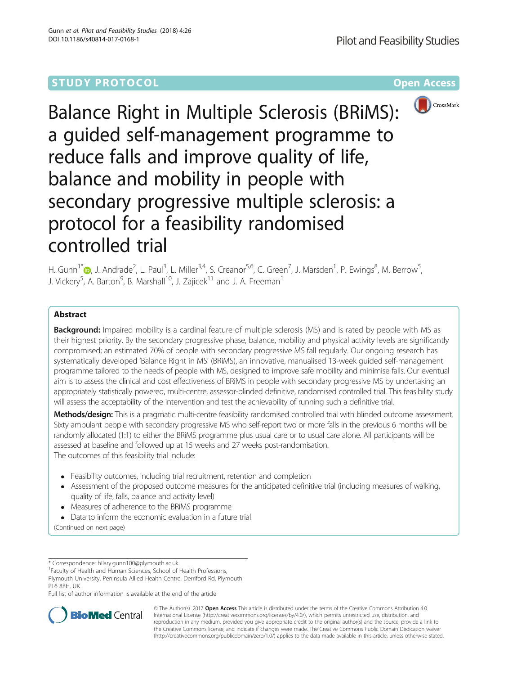# **STUDY PROTOCOL CONSUMING THE CONSUMING OPEN ACCESS**



Balance Right in Multiple Sclerosis (BRiMS): a guided self-management programme to reduce falls and improve quality of life, balance and mobility in people with secondary progressive multiple sclerosis: a protocol for a feasibility randomised controlled trial

H. Gunn<sup>1\*</sup>®[,](http://orcid.org/0000-0002-0149-5477) J. Andrade<sup>2</sup>, L. Paul<sup>3</sup>, L. Miller<sup>3,4</sup>, S. Creanor<sup>5,6</sup>, C. Green<sup>7</sup>, J. Marsden<sup>1</sup>, P. Ewings<sup>8</sup>, M. Berrow<sup>5</sup> , J. Vickery<sup>5</sup>, A. Barton<sup>9</sup>, B. Marshall<sup>10</sup>, J. Zajicek<sup>11</sup> and J. A. Freeman<sup>1</sup>

# Abstract

**Background:** Impaired mobility is a cardinal feature of multiple sclerosis (MS) and is rated by people with MS as their highest priority. By the secondary progressive phase, balance, mobility and physical activity levels are significantly compromised; an estimated 70% of people with secondary progressive MS fall regularly. Our ongoing research has systematically developed 'Balance Right in MS' (BRiMS), an innovative, manualised 13-week guided self-management programme tailored to the needs of people with MS, designed to improve safe mobility and minimise falls. Our eventual aim is to assess the clinical and cost effectiveness of BRiMS in people with secondary progressive MS by undertaking an appropriately statistically powered, multi-centre, assessor-blinded definitive, randomised controlled trial. This feasibility study will assess the acceptability of the intervention and test the achievability of running such a definitive trial.

Methods/design: This is a pragmatic multi-centre feasibility randomised controlled trial with blinded outcome assessment. Sixty ambulant people with secondary progressive MS who self-report two or more falls in the previous 6 months will be randomly allocated (1:1) to either the BRiMS programme plus usual care or to usual care alone. All participants will be assessed at baseline and followed up at 15 weeks and 27 weeks post-randomisation. The outcomes of this feasibility trial include:

- Feasibility outcomes, including trial recruitment, retention and completion
- Assessment of the proposed outcome measures for the anticipated definitive trial (including measures of walking, quality of life, falls, balance and activity level)
- Measures of adherence to the BRiMS programme
- Data to inform the economic evaluation in a future trial (Continued on next page)

\* Correspondence: [hilary.gunn100@plymouth.ac.uk](mailto:hilary.gunn100@plymouth.ac.uk) <sup>1</sup>

<sup>1</sup>Faculty of Health and Human Sciences, School of Health Professions,

Plymouth University, Peninsula Allied Health Centre, Derriford Rd, Plymouth PL6 8BH, UK

Full list of author information is available at the end of the article



© The Author(s). 2017 **Open Access** This article is distributed under the terms of the Creative Commons Attribution 4.0 International License [\(http://creativecommons.org/licenses/by/4.0/](http://creativecommons.org/licenses/by/4.0/)), which permits unrestricted use, distribution, and reproduction in any medium, provided you give appropriate credit to the original author(s) and the source, provide a link to the Creative Commons license, and indicate if changes were made. The Creative Commons Public Domain Dedication waiver [\(http://creativecommons.org/publicdomain/zero/1.0/](http://creativecommons.org/publicdomain/zero/1.0/)) applies to the data made available in this article, unless otherwise stated.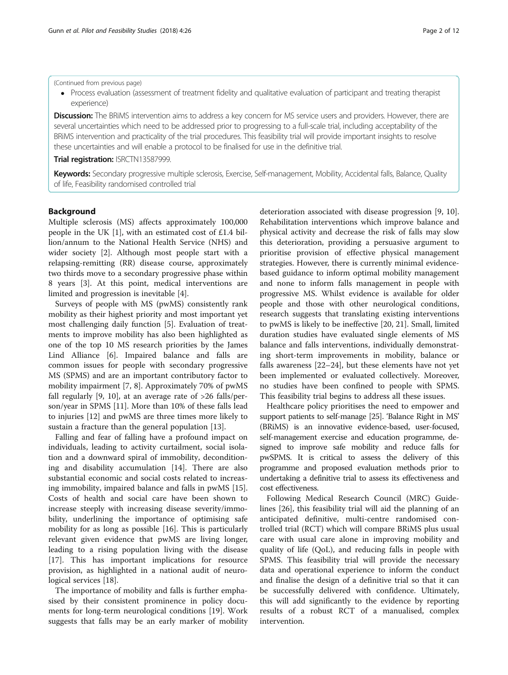(Continued from previous page)

 Process evaluation (assessment of treatment fidelity and qualitative evaluation of participant and treating therapist experience)

Discussion: The BRIMS intervention aims to address a key concern for MS service users and providers. However, there are several uncertainties which need to be addressed prior to progressing to a full-scale trial, including acceptability of the BRiMS intervention and practicality of the trial procedures. This feasibility trial will provide important insights to resolve these uncertainties and will enable a protocol to be finalised for use in the definitive trial.

Trial registration: [ISRCTN13587999](http://www.isrctn.com/search?q=ISRCTN13587999).

Keywords: Secondary progressive multiple sclerosis, Exercise, Self-management, Mobility, Accidental falls, Balance, Quality of life, Feasibility randomised controlled trial

# Background

Multiple sclerosis (MS) affects approximately 100,000 people in the UK [[1\]](#page-9-0), with an estimated cost of £1.4 billion/annum to the National Health Service (NHS) and wider society [\[2](#page-9-0)]. Although most people start with a relapsing-remitting (RR) disease course, approximately two thirds move to a secondary progressive phase within 8 years [\[3](#page-9-0)]. At this point, medical interventions are limited and progression is inevitable [\[4](#page-9-0)].

Surveys of people with MS (pwMS) consistently rank mobility as their highest priority and most important yet most challenging daily function [[5\]](#page-9-0). Evaluation of treatments to improve mobility has also been highlighted as one of the top 10 MS research priorities by the James Lind Alliance [\[6](#page-9-0)]. Impaired balance and falls are common issues for people with secondary progressive MS (SPMS) and are an important contributory factor to mobility impairment [\[7, 8](#page-10-0)]. Approximately 70% of pwMS fall regularly [\[9](#page-10-0), [10](#page-10-0)], at an average rate of >26 falls/person/year in SPMS [[11\]](#page-10-0). More than 10% of these falls lead to injuries [[12](#page-10-0)] and pwMS are three times more likely to sustain a fracture than the general population [[13\]](#page-10-0).

Falling and fear of falling have a profound impact on individuals, leading to activity curtailment, social isolation and a downward spiral of immobility, deconditioning and disability accumulation [\[14\]](#page-10-0). There are also substantial economic and social costs related to increasing immobility, impaired balance and falls in pwMS [\[15](#page-10-0)]. Costs of health and social care have been shown to increase steeply with increasing disease severity/immobility, underlining the importance of optimising safe mobility for as long as possible [[16\]](#page-10-0). This is particularly relevant given evidence that pwMS are living longer, leading to a rising population living with the disease [[17\]](#page-10-0). This has important implications for resource provision, as highlighted in a national audit of neurological services [[18\]](#page-10-0).

The importance of mobility and falls is further emphasised by their consistent prominence in policy documents for long-term neurological conditions [\[19\]](#page-10-0). Work suggests that falls may be an early marker of mobility

deterioration associated with disease progression [[9, 10](#page-10-0)]. Rehabilitation interventions which improve balance and physical activity and decrease the risk of falls may slow this deterioration, providing a persuasive argument to prioritise provision of effective physical management strategies. However, there is currently minimal evidencebased guidance to inform optimal mobility management and none to inform falls management in people with progressive MS. Whilst evidence is available for older people and those with other neurological conditions, research suggests that translating existing interventions to pwMS is likely to be ineffective [\[20](#page-10-0), [21](#page-10-0)]. Small, limited duration studies have evaluated single elements of MS balance and falls interventions, individually demonstrating short-term improvements in mobility, balance or falls awareness [[22](#page-10-0)–[24\]](#page-10-0), but these elements have not yet been implemented or evaluated collectively. Moreover, no studies have been confined to people with SPMS. This feasibility trial begins to address all these issues.

Healthcare policy prioritises the need to empower and support patients to self-manage [[25](#page-10-0)]. 'Balance Right in MS' (BRiMS) is an innovative evidence-based, user-focused, self-management exercise and education programme, designed to improve safe mobility and reduce falls for pwSPMS. It is critical to assess the delivery of this programme and proposed evaluation methods prior to undertaking a definitive trial to assess its effectiveness and cost effectiveness.

Following Medical Research Council (MRC) Guidelines [[26\]](#page-10-0), this feasibility trial will aid the planning of an anticipated definitive, multi-centre randomised controlled trial (RCT) which will compare BRiMS plus usual care with usual care alone in improving mobility and quality of life (QoL), and reducing falls in people with SPMS. This feasibility trial will provide the necessary data and operational experience to inform the conduct and finalise the design of a definitive trial so that it can be successfully delivered with confidence. Ultimately, this will add significantly to the evidence by reporting results of a robust RCT of a manualised, complex intervention.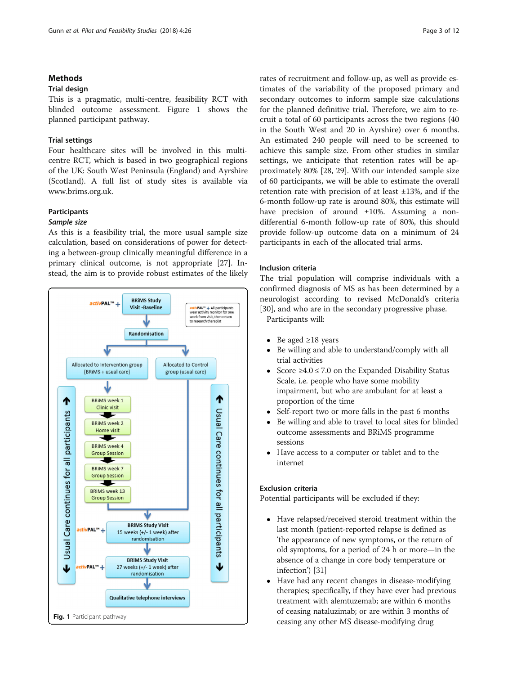# Methods

# Trial design

This is a pragmatic, multi-centre, feasibility RCT with blinded outcome assessment. Figure 1 shows the planned participant pathway.

# Trial settings

Four healthcare sites will be involved in this multicentre RCT, which is based in two geographical regions of the UK: South West Peninsula (England) and Ayrshire (Scotland). A full list of study sites is available via [www.brims.org.uk.](http://www.brims.org.uk/)

# **Participants**

## Sample size

As this is a feasibility trial, the more usual sample size calculation, based on considerations of power for detecting a between-group clinically meaningful difference in a primary clinical outcome, is not appropriate [[27\]](#page-10-0). Instead, the aim is to provide robust estimates of the likely



rates of recruitment and follow-up, as well as provide estimates of the variability of the proposed primary and secondary outcomes to inform sample size calculations for the planned definitive trial. Therefore, we aim to recruit a total of 60 participants across the two regions (40 in the South West and 20 in Ayrshire) over 6 months. An estimated 240 people will need to be screened to achieve this sample size. From other studies in similar settings, we anticipate that retention rates will be approximately 80% [\[28, 29\]](#page-10-0). With our intended sample size of 60 participants, we will be able to estimate the overall retention rate with precision of at least ±13%, and if the 6-month follow-up rate is around 80%, this estimate will have precision of around ±10%. Assuming a nondifferential 6-month follow-up rate of 80%, this should provide follow-up outcome data on a minimum of 24 participants in each of the allocated trial arms.

## Inclusion criteria

The trial population will comprise individuals with a confirmed diagnosis of MS as has been determined by a neurologist according to revised McDonald's criteria [[30\]](#page-10-0), and who are in the secondary progressive phase.

Participants will:

- $\bullet$  Be aged ≥18 years
- Be willing and able to understand/comply with all trial activities
- Score ≥4.0 ≤ 7.0 on the Expanded Disability Status Scale, i.e. people who have some mobility impairment, but who are ambulant for at least a proportion of the time
- Self-report two or more falls in the past 6 months
- Be willing and able to travel to local sites for blinded outcome assessments and BRiMS programme sessions
- Have access to a computer or tablet and to the internet

# Exclusion criteria

Potential participants will be excluded if they:

- Have relapsed/received steroid treatment within the last month (patient-reported relapse is defined as 'the appearance of new symptoms, or the return of old symptoms, for a period of 24 h or more—in the absence of a change in core body temperature or infection') [[31](#page-10-0)]
- Have had any recent changes in disease-modifying therapies; specifically, if they have ever had previous treatment with alemtuzemab; are within 6 months of ceasing nataluzimab; or are within 3 months of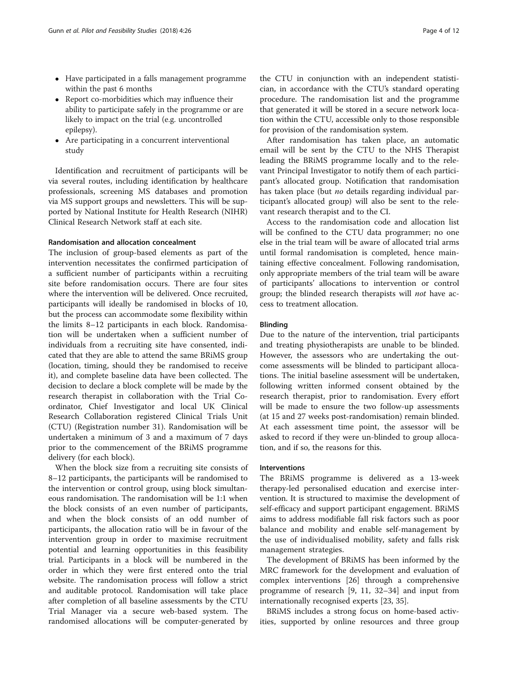- Have participated in a falls management programme within the past 6 months
- Report co-morbidities which may influence their ability to participate safely in the programme or are likely to impact on the trial (e.g. uncontrolled epilepsy).
- Are participating in a concurrent interventional study

Identification and recruitment of participants will be via several routes, including identification by healthcare professionals, screening MS databases and promotion via MS support groups and newsletters. This will be supported by National Institute for Health Research (NIHR) Clinical Research Network staff at each site.

## Randomisation and allocation concealment

The inclusion of group-based elements as part of the intervention necessitates the confirmed participation of a sufficient number of participants within a recruiting site before randomisation occurs. There are four sites where the intervention will be delivered. Once recruited, participants will ideally be randomised in blocks of 10, but the process can accommodate some flexibility within the limits 8–12 participants in each block. Randomisation will be undertaken when a sufficient number of individuals from a recruiting site have consented, indicated that they are able to attend the same BRiMS group (location, timing, should they be randomised to receive it), and complete baseline data have been collected. The decision to declare a block complete will be made by the research therapist in collaboration with the Trial Coordinator, Chief Investigator and local UK Clinical Research Collaboration registered Clinical Trials Unit (CTU) (Registration number 31). Randomisation will be undertaken a minimum of 3 and a maximum of 7 days prior to the commencement of the BRiMS programme delivery (for each block).

When the block size from a recruiting site consists of 8–12 participants, the participants will be randomised to the intervention or control group, using block simultaneous randomisation. The randomisation will be 1:1 when the block consists of an even number of participants, and when the block consists of an odd number of participants, the allocation ratio will be in favour of the intervention group in order to maximise recruitment potential and learning opportunities in this feasibility trial. Participants in a block will be numbered in the order in which they were first entered onto the trial website. The randomisation process will follow a strict and auditable protocol. Randomisation will take place after completion of all baseline assessments by the CTU Trial Manager via a secure web-based system. The randomised allocations will be computer-generated by

the CTU in conjunction with an independent statistician, in accordance with the CTU's standard operating procedure. The randomisation list and the programme that generated it will be stored in a secure network location within the CTU, accessible only to those responsible for provision of the randomisation system.

After randomisation has taken place, an automatic email will be sent by the CTU to the NHS Therapist leading the BRiMS programme locally and to the relevant Principal Investigator to notify them of each participant's allocated group. Notification that randomisation has taken place (but no details regarding individual participant's allocated group) will also be sent to the relevant research therapist and to the CI.

Access to the randomisation code and allocation list will be confined to the CTU data programmer; no one else in the trial team will be aware of allocated trial arms until formal randomisation is completed, hence maintaining effective concealment. Following randomisation, only appropriate members of the trial team will be aware of participants' allocations to intervention or control group; the blinded research therapists will *not* have access to treatment allocation.

## Blinding

Due to the nature of the intervention, trial participants and treating physiotherapists are unable to be blinded. However, the assessors who are undertaking the outcome assessments will be blinded to participant allocations. The initial baseline assessment will be undertaken, following written informed consent obtained by the research therapist, prior to randomisation. Every effort will be made to ensure the two follow-up assessments (at 15 and 27 weeks post-randomisation) remain blinded. At each assessment time point, the assessor will be asked to record if they were un-blinded to group allocation, and if so, the reasons for this.

## Interventions

The BRiMS programme is delivered as a 13-week therapy-led personalised education and exercise intervention. It is structured to maximise the development of self-efficacy and support participant engagement. BRiMS aims to address modifiable fall risk factors such as poor balance and mobility and enable self-management by the use of individualised mobility, safety and falls risk management strategies.

The development of BRiMS has been informed by the MRC framework for the development and evaluation of complex interventions [[26\]](#page-10-0) through a comprehensive programme of research [\[9](#page-10-0), [11, 32](#page-10-0)–[34](#page-10-0)] and input from internationally recognised experts [\[23](#page-10-0), [35\]](#page-10-0).

BRiMS includes a strong focus on home-based activities, supported by online resources and three group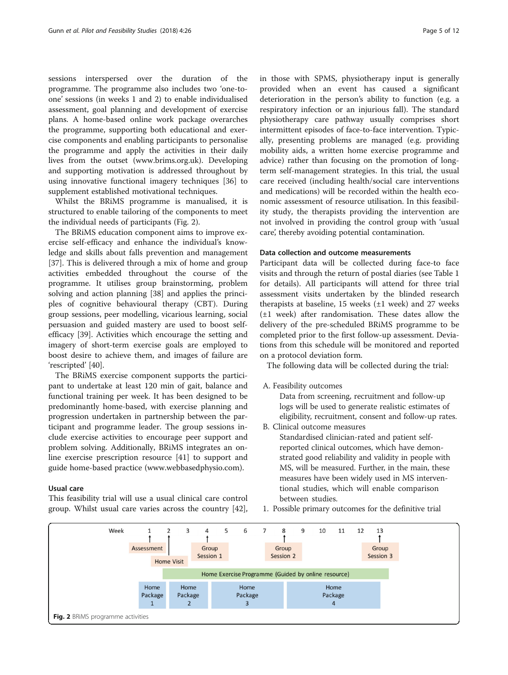sessions interspersed over the duration of the programme. The programme also includes two 'one-toone' sessions (in weeks 1 and 2) to enable individualised assessment, goal planning and development of exercise plans. A home-based online work package overarches the programme, supporting both educational and exercise components and enabling participants to personalise the programme and apply the activities in their daily lives from the outset [\(www.brims.org.uk](http://www.brims.org.uk/)). Developing and supporting motivation is addressed throughout by using innovative functional imagery techniques [[36](#page-10-0)] to supplement established motivational techniques.

Whilst the BRiMS programme is manualised, it is structured to enable tailoring of the components to meet the individual needs of participants (Fig. 2).

The BRiMS education component aims to improve exercise self-efficacy and enhance the individual's knowledge and skills about falls prevention and management [[37\]](#page-10-0). This is delivered through a mix of home and group activities embedded throughout the course of the programme. It utilises group brainstorming, problem solving and action planning [\[38](#page-10-0)] and applies the principles of cognitive behavioural therapy (CBT). During group sessions, peer modelling, vicarious learning, social persuasion and guided mastery are used to boost selfefficacy [[39\]](#page-10-0). Activities which encourage the setting and imagery of short-term exercise goals are employed to boost desire to achieve them, and images of failure are 'rescripted' [\[40](#page-10-0)].

The BRiMS exercise component supports the participant to undertake at least 120 min of gait, balance and functional training per week. It has been designed to be predominantly home-based, with exercise planning and progression undertaken in partnership between the participant and programme leader. The group sessions include exercise activities to encourage peer support and problem solving. Additionally, BRiMS integrates an online exercise prescription resource [\[41\]](#page-10-0) to support and guide home-based practice ([www.webbasedphysio.com\)](http://www.webbasedphysio.com/).

# Usual care

This feasibility trial will use a usual clinical care control group. Whilst usual care varies across the country [\[42](#page-10-0)], in those with SPMS, physiotherapy input is generally provided when an event has caused a significant deterioration in the person's ability to function (e.g. a respiratory infection or an injurious fall). The standard physiotherapy care pathway usually comprises short intermittent episodes of face-to-face intervention. Typically, presenting problems are managed (e.g. providing mobility aids, a written home exercise programme and advice) rather than focusing on the promotion of longterm self-management strategies. In this trial, the usual care received (including health/social care interventions and medications) will be recorded within the health economic assessment of resource utilisation. In this feasibility study, the therapists providing the intervention are not involved in providing the control group with 'usual care', thereby avoiding potential contamination.

# Data collection and outcome measurements

Participant data will be collected during face-to face visits and through the return of postal diaries (see Table [1](#page-5-0) for details). All participants will attend for three trial assessment visits undertaken by the blinded research therapists at baseline, 15 weeks  $(\pm 1$  week) and 27 weeks (±1 week) after randomisation. These dates allow the delivery of the pre-scheduled BRiMS programme to be completed prior to the first follow-up assessment. Deviations from this schedule will be monitored and reported on a protocol deviation form.

The following data will be collected during the trial:

## A. Feasibility outcomes

Data from screening, recruitment and follow-up logs will be used to generate realistic estimates of eligibility, recruitment, consent and follow-up rates.

B. Clinical outcome measures

Standardised clinician-rated and patient selfreported clinical outcomes, which have demonstrated good reliability and validity in people with MS, will be measured. Further, in the main, these measures have been widely used in MS interventional studies, which will enable comparison between studies.

1. Possible primary outcomes for the definitive trial

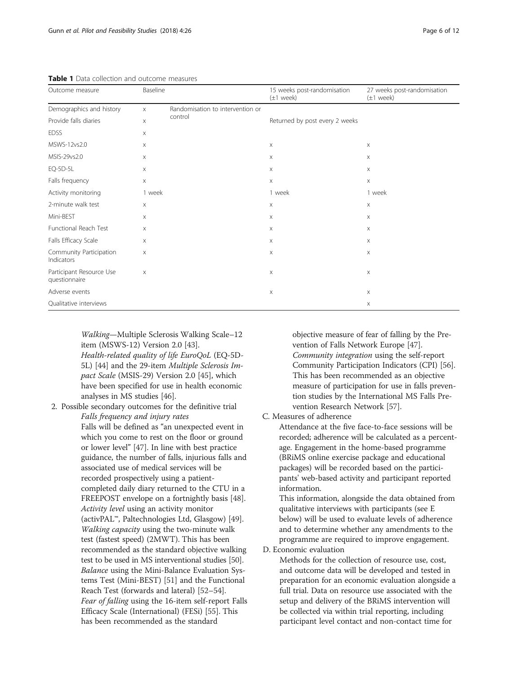| Outcome measure                           | Baseline                  |                                             | 15 weeks post-randomisation<br>$(\pm 1$ week) | 27 weeks post-randomisation<br>$(\pm 1$ week) |
|-------------------------------------------|---------------------------|---------------------------------------------|-----------------------------------------------|-----------------------------------------------|
| Demographics and history                  | $\times$                  | Randomisation to intervention or<br>control |                                               |                                               |
| Provide falls diaries                     | X                         |                                             | Returned by post every 2 weeks                |                                               |
| <b>EDSS</b>                               | X                         |                                             |                                               |                                               |
| MSWS-12vs2.0                              | $\boldsymbol{\mathsf{X}}$ |                                             | $\mathsf X$                                   | X                                             |
| MSIS-29vs2.0                              | X                         |                                             | X                                             | X                                             |
| EQ-5D-5L                                  | X                         |                                             | X                                             | X                                             |
| Falls frequency                           | $\boldsymbol{\mathsf{X}}$ |                                             | $\boldsymbol{\mathsf{X}}$                     | X                                             |
| Activity monitoring                       | 1 week                    |                                             | 1 week                                        | 1 week                                        |
| 2-minute walk test                        | X                         |                                             | X                                             | X                                             |
| Mini-BEST                                 | X                         |                                             | X                                             | X                                             |
| Functional Reach Test                     | X                         |                                             | X                                             | X                                             |
| Falls Efficacy Scale                      | X                         |                                             | X                                             | X                                             |
| Community Participation<br>Indicators     | X                         |                                             | $\boldsymbol{\times}$                         | X                                             |
| Participant Resource Use<br>questionnaire | $\times$                  |                                             | $\times$                                      | $\boldsymbol{\times}$                         |
| Adverse events                            |                           |                                             | Χ                                             | X                                             |
| Qualitative interviews                    |                           |                                             |                                               | X                                             |

<span id="page-5-0"></span>Table 1 Data collection and outcome measures

Walking—Multiple Sclerosis Walking Scale–12 item (MSWS-12) Version 2.0 [\[43\]](#page-10-0).

Health-related quality of life EuroQoL (EQ-5D-5L) [[44](#page-10-0)] and the 29-item Multiple Sclerosis Impact Scale (MSIS-29) Version 2.0 [\[45\]](#page-10-0), which have been specified for use in health economic analyses in MS studies [[46](#page-10-0)].

2. Possible secondary outcomes for the definitive trial Falls frequency and injury rates Falls will be defined as "an unexpected event in which you come to rest on the floor or ground or lower level" [\[47](#page-10-0)]. In line with best practice guidance, the number of falls, injurious falls and associated use of medical services will be recorded prospectively using a patientcompleted daily diary returned to the CTU in a FREEPOST envelope on a fortnightly basis [\[48\]](#page-10-0). Activity level using an activity monitor (activPAL™, Paltechnologies Ltd, Glasgow) [\[49\]](#page-10-0). Walking capacity using the two-minute walk test (fastest speed) (2MWT). This has been recommended as the standard objective walking test to be used in MS interventional studies [\[50\]](#page-10-0). Balance using the Mini-Balance Evaluation Systems Test (Mini-BEST) [\[51\]](#page-10-0) and the Functional Reach Test (forwards and lateral) [[52](#page-10-0)–[54\]](#page-10-0). Fear of falling using the 16-item self-report Falls Efficacy Scale (International) (FESi) [[55](#page-11-0)]. This has been recommended as the standard

objective measure of fear of falling by the Prevention of Falls Network Europe [[47](#page-10-0)]. Community integration using the self-report Community Participation Indicators (CPI) [\[56\]](#page-11-0). This has been recommended as an objective measure of participation for use in falls prevention studies by the International MS Falls Prevention Research Network [\[57\]](#page-11-0).

C. Measures of adherence

Attendance at the five face-to-face sessions will be recorded; adherence will be calculated as a percentage. Engagement in the home-based programme (BRiMS online exercise package and educational packages) will be recorded based on the participants' web-based activity and participant reported information.

This information, alongside the data obtained from qualitative interviews with participants (see E below) will be used to evaluate levels of adherence and to determine whether any amendments to the programme are required to improve engagement.

D. Economic evaluation

Methods for the collection of resource use, cost, and outcome data will be developed and tested in preparation for an economic evaluation alongside a full trial. Data on resource use associated with the setup and delivery of the BRiMS intervention will be collected via within trial reporting, including participant level contact and non-contact time for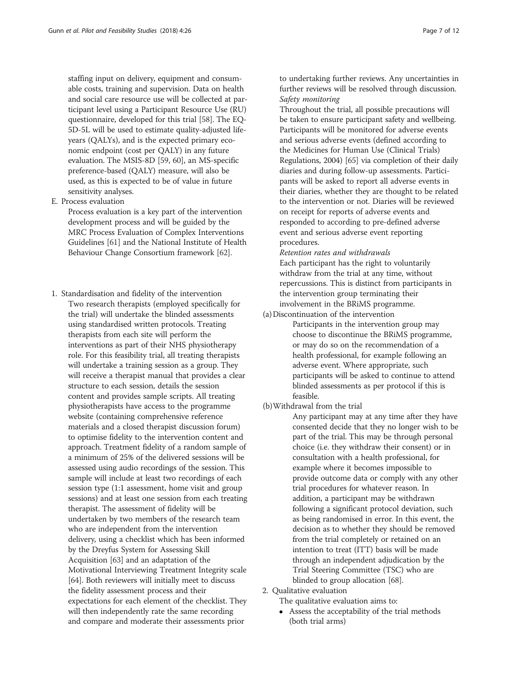staffing input on delivery, equipment and consumable costs, training and supervision. Data on health and social care resource use will be collected at participant level using a Participant Resource Use (RU) questionnaire, developed for this trial [[58](#page-11-0)]. The EQ-5D-5L will be used to estimate quality-adjusted lifeyears (QALYs), and is the expected primary economic endpoint (cost per QALY) in any future evaluation. The MSIS-8D [[59,](#page-11-0) [60](#page-11-0)], an MS-specific preference-based (QALY) measure, will also be used, as this is expected to be of value in future sensitivity analyses.

E. Process evaluation

Process evaluation is a key part of the intervention development process and will be guided by the MRC Process Evaluation of Complex Interventions Guidelines [[61](#page-11-0)] and the National Institute of Health Behaviour Change Consortium framework [\[62](#page-11-0)].

1. Standardisation and fidelity of the intervention Two research therapists (employed specifically for the trial) will undertake the blinded assessments using standardised written protocols. Treating therapists from each site will perform the interventions as part of their NHS physiotherapy role. For this feasibility trial, all treating therapists will undertake a training session as a group. They will receive a therapist manual that provides a clear structure to each session, details the session content and provides sample scripts. All treating physiotherapists have access to the programme website (containing comprehensive reference materials and a closed therapist discussion forum) to optimise fidelity to the intervention content and approach. Treatment fidelity of a random sample of a minimum of 25% of the delivered sessions will be assessed using audio recordings of the session. This sample will include at least two recordings of each session type (1:1 assessment, home visit and group sessions) and at least one session from each treating therapist. The assessment of fidelity will be undertaken by two members of the research team who are independent from the intervention delivery, using a checklist which has been informed by the Dreyfus System for Assessing Skill Acquisition [\[63\]](#page-11-0) and an adaptation of the Motivational Interviewing Treatment Integrity scale [\[64\]](#page-11-0). Both reviewers will initially meet to discuss the fidelity assessment process and their expectations for each element of the checklist. They will then independently rate the same recording and compare and moderate their assessments prior

to undertaking further reviews. Any uncertainties in further reviews will be resolved through discussion. Safety monitoring

Throughout the trial, all possible precautions will be taken to ensure participant safety and wellbeing. Participants will be monitored for adverse events and serious adverse events (defined according to the Medicines for Human Use (Clinical Trials) Regulations, 2004) [[65\]](#page-11-0) via completion of their daily diaries and during follow-up assessments. Participants will be asked to report all adverse events in their diaries, whether they are thought to be related to the intervention or not. Diaries will be reviewed on receipt for reports of adverse events and responded to according to pre-defined adverse event and serious adverse event reporting procedures.

Retention rates and withdrawals Each participant has the right to voluntarily withdraw from the trial at any time, without repercussions. This is distinct from participants in the intervention group terminating their involvement in the BRiMS programme.

- (a)Discontinuation of the intervention Participants in the intervention group may choose to discontinue the BRiMS programme, or may do so on the recommendation of a health professional, for example following an adverse event. Where appropriate, such participants will be asked to continue to attend blinded assessments as per protocol if this is feasible.
- (b)Withdrawal from the trial

Any participant may at any time after they have consented decide that they no longer wish to be part of the trial. This may be through personal choice (i.e. they withdraw their consent) or in consultation with a health professional, for example where it becomes impossible to provide outcome data or comply with any other trial procedures for whatever reason. In addition, a participant may be withdrawn following a significant protocol deviation, such as being randomised in error. In this event, the decision as to whether they should be removed from the trial completely or retained on an intention to treat (ITT) basis will be made through an independent adjudication by the Trial Steering Committee (TSC) who are blinded to group allocation [\[68](#page-11-0)].

- 2. Qualitative evaluation
	- The qualitative evaluation aims to:
	- Assess the acceptability of the trial methods (both trial arms)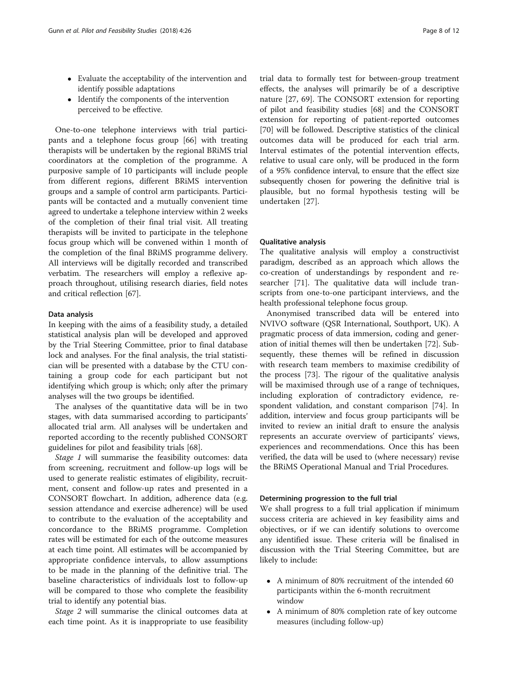- Evaluate the acceptability of the intervention and identify possible adaptations
- Identify the components of the intervention perceived to be effective.

One-to-one telephone interviews with trial participants and a telephone focus group [[66\]](#page-11-0) with treating therapists will be undertaken by the regional BRiMS trial coordinators at the completion of the programme. A purposive sample of 10 participants will include people from different regions, different BRiMS intervention groups and a sample of control arm participants. Participants will be contacted and a mutually convenient time agreed to undertake a telephone interview within 2 weeks of the completion of their final trial visit. All treating therapists will be invited to participate in the telephone focus group which will be convened within 1 month of the completion of the final BRiMS programme delivery. All interviews will be digitally recorded and transcribed verbatim. The researchers will employ a reflexive approach throughout, utilising research diaries, field notes and critical reflection [\[67\]](#page-11-0).

## Data analysis

In keeping with the aims of a feasibility study, a detailed statistical analysis plan will be developed and approved by the Trial Steering Committee, prior to final database lock and analyses. For the final analysis, the trial statistician will be presented with a database by the CTU containing a group code for each participant but not identifying which group is which; only after the primary analyses will the two groups be identified.

The analyses of the quantitative data will be in two stages, with data summarised according to participants' allocated trial arm. All analyses will be undertaken and reported according to the recently published CONSORT guidelines for pilot and feasibility trials [\[68](#page-11-0)].

Stage 1 will summarise the feasibility outcomes: data from screening, recruitment and follow-up logs will be used to generate realistic estimates of eligibility, recruitment, consent and follow-up rates and presented in a CONSORT flowchart. In addition, adherence data (e.g. session attendance and exercise adherence) will be used to contribute to the evaluation of the acceptability and concordance to the BRiMS programme. Completion rates will be estimated for each of the outcome measures at each time point. All estimates will be accompanied by appropriate confidence intervals, to allow assumptions to be made in the planning of the definitive trial. The baseline characteristics of individuals lost to follow-up will be compared to those who complete the feasibility trial to identify any potential bias.

Stage 2 will summarise the clinical outcomes data at each time point. As it is inappropriate to use feasibility

trial data to formally test for between-group treatment effects, the analyses will primarily be of a descriptive nature [[27,](#page-10-0) [69](#page-11-0)]. The CONSORT extension for reporting of pilot and feasibility studies [[68\]](#page-11-0) and the CONSORT extension for reporting of patient-reported outcomes [[70\]](#page-11-0) will be followed. Descriptive statistics of the clinical outcomes data will be produced for each trial arm. Interval estimates of the potential intervention effects, relative to usual care only, will be produced in the form of a 95% confidence interval, to ensure that the effect size subsequently chosen for powering the definitive trial is plausible, but no formal hypothesis testing will be undertaken [[27](#page-10-0)].

## Qualitative analysis

The qualitative analysis will employ a constructivist paradigm, described as an approach which allows the co-creation of understandings by respondent and researcher [[71\]](#page-11-0). The qualitative data will include transcripts from one-to-one participant interviews, and the health professional telephone focus group.

Anonymised transcribed data will be entered into NVIVO software (QSR International, Southport, UK). A pragmatic process of data immersion, coding and generation of initial themes will then be undertaken [\[72](#page-11-0)]. Subsequently, these themes will be refined in discussion with research team members to maximise credibility of the process [\[73](#page-11-0)]. The rigour of the qualitative analysis will be maximised through use of a range of techniques, including exploration of contradictory evidence, respondent validation, and constant comparison [[74\]](#page-11-0). In addition, interview and focus group participants will be invited to review an initial draft to ensure the analysis represents an accurate overview of participants' views, experiences and recommendations. Once this has been verified, the data will be used to (where necessary) revise the BRiMS Operational Manual and Trial Procedures.

## Determining progression to the full trial

We shall progress to a full trial application if minimum success criteria are achieved in key feasibility aims and objectives, or if we can identify solutions to overcome any identified issue. These criteria will be finalised in discussion with the Trial Steering Committee, but are likely to include:

- A minimum of 80% recruitment of the intended 60 participants within the 6-month recruitment window
- A minimum of 80% completion rate of key outcome measures (including follow-up)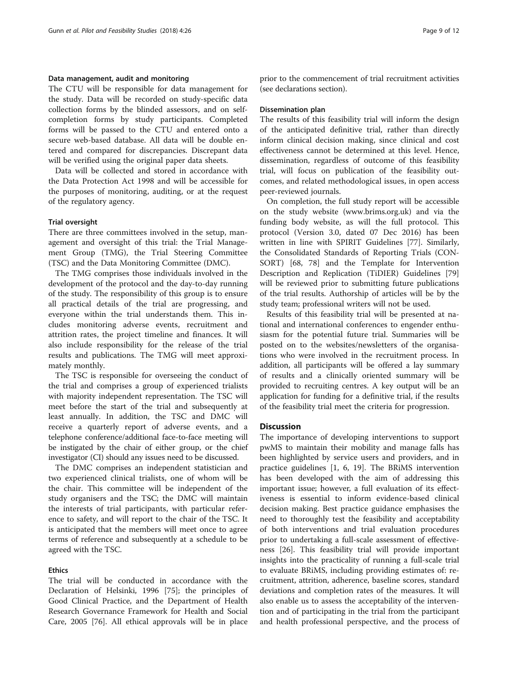### Data management, audit and monitoring

The CTU will be responsible for data management for the study. Data will be recorded on study-specific data collection forms by the blinded assessors, and on selfcompletion forms by study participants. Completed forms will be passed to the CTU and entered onto a secure web-based database. All data will be double entered and compared for discrepancies. Discrepant data will be verified using the original paper data sheets.

Data will be collected and stored in accordance with the Data Protection Act 1998 and will be accessible for the purposes of monitoring, auditing, or at the request of the regulatory agency.

### Trial oversight

There are three committees involved in the setup, management and oversight of this trial: the Trial Management Group (TMG), the Trial Steering Committee (TSC) and the Data Monitoring Committee (DMC).

The TMG comprises those individuals involved in the development of the protocol and the day-to-day running of the study. The responsibility of this group is to ensure all practical details of the trial are progressing, and everyone within the trial understands them. This includes monitoring adverse events, recruitment and attrition rates, the project timeline and finances. It will also include responsibility for the release of the trial results and publications. The TMG will meet approximately monthly.

The TSC is responsible for overseeing the conduct of the trial and comprises a group of experienced trialists with majority independent representation. The TSC will meet before the start of the trial and subsequently at least annually. In addition, the TSC and DMC will receive a quarterly report of adverse events, and a telephone conference/additional face-to-face meeting will be instigated by the chair of either group, or the chief investigator (CI) should any issues need to be discussed.

The DMC comprises an independent statistician and two experienced clinical trialists, one of whom will be the chair. This committee will be independent of the study organisers and the TSC; the DMC will maintain the interests of trial participants, with particular reference to safety, and will report to the chair of the TSC. It is anticipated that the members will meet once to agree terms of reference and subsequently at a schedule to be agreed with the TSC.

## **Ethics**

The trial will be conducted in accordance with the Declaration of Helsinki, 1996 [[75\]](#page-11-0); the principles of Good Clinical Practice, and the Department of Health Research Governance Framework for Health and Social Care, 2005 [[76](#page-11-0)]. All ethical approvals will be in place prior to the commencement of trial recruitment activities (see declarations section).

#### Dissemination plan

The results of this feasibility trial will inform the design of the anticipated definitive trial, rather than directly inform clinical decision making, since clinical and cost effectiveness cannot be determined at this level. Hence, dissemination, regardless of outcome of this feasibility trial, will focus on publication of the feasibility outcomes, and related methodological issues, in open access peer-reviewed journals.

On completion, the full study report will be accessible on the study website [\(www.brims.org.uk\)](http://www.brims.org.uk/) and via the funding body website, as will the full protocol. This protocol (Version 3.0, dated 07 Dec 2016) has been written in line with SPIRIT Guidelines [\[77](#page-11-0)]. Similarly, the Consolidated Standards of Reporting Trials (CON-SORT) [\[68, 78\]](#page-11-0) and the Template for Intervention Description and Replication (TiDIER) Guidelines [[79](#page-11-0)] will be reviewed prior to submitting future publications of the trial results. Authorship of articles will be by the study team; professional writers will not be used.

Results of this feasibility trial will be presented at national and international conferences to engender enthusiasm for the potential future trial. Summaries will be posted on to the websites/newsletters of the organisations who were involved in the recruitment process. In addition, all participants will be offered a lay summary of results and a clinically oriented summary will be provided to recruiting centres. A key output will be an application for funding for a definitive trial, if the results of the feasibility trial meet the criteria for progression.

## **Discussion**

The importance of developing interventions to support pwMS to maintain their mobility and manage falls has been highlighted by service users and providers, and in practice guidelines [[1](#page-9-0), [6](#page-9-0), [19](#page-10-0)]. The BRiMS intervention has been developed with the aim of addressing this important issue; however, a full evaluation of its effectiveness is essential to inform evidence-based clinical decision making. Best practice guidance emphasises the need to thoroughly test the feasibility and acceptability of both interventions and trial evaluation procedures prior to undertaking a full-scale assessment of effectiveness [[26\]](#page-10-0). This feasibility trial will provide important insights into the practicality of running a full-scale trial to evaluate BRiMS, including providing estimates of: recruitment, attrition, adherence, baseline scores, standard deviations and completion rates of the measures. It will also enable us to assess the acceptability of the intervention and of participating in the trial from the participant and health professional perspective, and the process of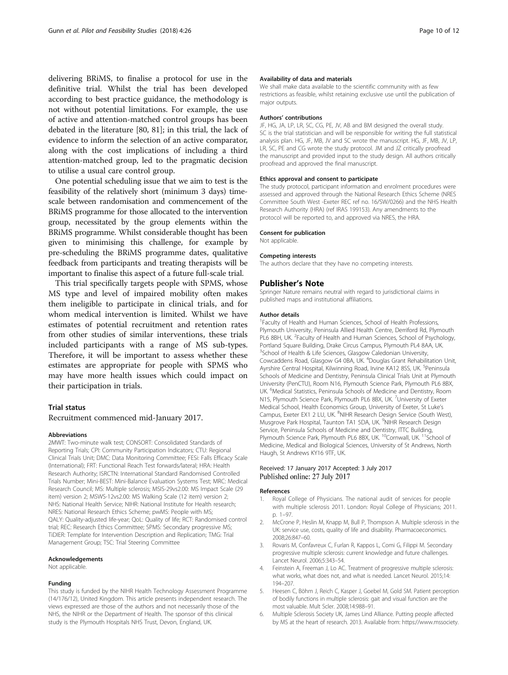<span id="page-9-0"></span>delivering BRiMS, to finalise a protocol for use in the definitive trial. Whilst the trial has been developed according to best practice guidance, the methodology is not without potential limitations. For example, the use of active and attention-matched control groups has been debated in the literature [[80, 81\]](#page-11-0); in this trial, the lack of evidence to inform the selection of an active comparator, along with the cost implications of including a third attention-matched group, led to the pragmatic decision to utilise a usual care control group.

One potential scheduling issue that we aim to test is the feasibility of the relatively short (minimum 3 days) timescale between randomisation and commencement of the BRiMS programme for those allocated to the intervention group, necessitated by the group elements within the BRiMS programme. Whilst considerable thought has been given to minimising this challenge, for example by pre-scheduling the BRiMS programme dates, qualitative feedback from participants and treating therapists will be important to finalise this aspect of a future full-scale trial.

This trial specifically targets people with SPMS, whose MS type and level of impaired mobility often makes them ineligible to participate in clinical trials, and for whom medical intervention is limited. Whilst we have estimates of potential recruitment and retention rates from other studies of similar interventions, these trials included participants with a range of MS sub-types. Therefore, it will be important to assess whether these estimates are appropriate for people with SPMS who may have more health issues which could impact on their participation in trials.

## Trial status

Recruitment commenced mid-January 2017.

#### Abbreviations

2MWT: Two-minute walk test; CONSORT: Consolidated Standards of Reporting Trials; CPI: Community Participation Indicators; CTU: Regional Clinical Trials Unit; DMC: Data Monitoring Committee; FESi: Falls Efficacy Scale (International); FRT: Functional Reach Test forwards/lateral; HRA: Health Research Authority; ISRCTN: International Standard Randomised Controlled Trials Number; Mini-BEST: Mini-Balance Evaluation Systems Test; MRC: Medical Research Council; MS: Multiple sclerosis; MSIS-29vs2.00: MS Impact Scale (29 item) version 2; MSWS-12vs2.00: MS Walking Scale (12 item) version 2; NHS: National Health Service; NIHR: National Institute for Health research; NRES: National Research Ethics Scheme; pwMS: People with MS; QALY: Quality-adjusted life-year; QoL: Quality of life; RCT: Randomised control trial; REC: Research Ethics Committee; SPMS: Secondary progressive MS; TiDIER: Template for Intervention Description and Replication; TMG: Trial Management Group; TSC: Trial Steering Committee

#### Acknowledgements

Not applicable.

#### Funding

This study is funded by the NIHR Health Technology Assessment Programme (14/176/12), United Kingdom. This article presents independent research. The views expressed are those of the authors and not necessarily those of the NHS, the NIHR or the Department of Health. The sponsor of this clinical study is the Plymouth Hospitals NHS Trust, Devon, England, UK.

### Availability of data and materials

We shall make data available to the scientific community with as few restrictions as feasible, whilst retaining exclusive use until the publication of major outputs.

#### Authors' contributions

JF, HG, JA, LP, LR, SC, CG, PE, JV, AB and BM designed the overall study. SC is the trial statistician and will be responsible for writing the full statistical analysis plan. HG, JF, MB, JV and SC wrote the manuscript. HG, JF, MB, JV, LP, LR, SC, PE and CG wrote the study protocol. JM and JZ critically proofread the manuscript and provided input to the study design. All authors critically proofread and approved the final manuscript.

#### Ethics approval and consent to participate

The study protocol, participant information and enrolment procedures were assessed and approved through the National Research Ethics Scheme (NRES Committee South West -Exeter REC ref no. 16/SW/0266) and the NHS Health Research Authority (HRA) (ref IRAS 199153). Any amendments to the protocol will be reported to, and approved via NRES, the HRA.

#### Consent for publication

Not applicable.

#### Competing interests

The authors declare that they have no competing interests.

#### Publisher's Note

Springer Nature remains neutral with regard to jurisdictional claims in published maps and institutional affiliations.

#### Author details

<sup>1</sup> Faculty of Health and Human Sciences, School of Health Professions Plymouth University, Peninsula Allied Health Centre, Derriford Rd, Plymouth PL6 8BH, UK. <sup>2</sup>Faculty of Health and Human Sciences, School of Psychology, Portland Square Building, Drake Circus Campus, Plymouth PL4 8AA, UK. <sup>3</sup> School of Health & Life Sciences, Glasgow Caledonian University Cowcaddens Road, Glasgow G4 0BA, UK. <sup>4</sup> Douglas Grant Rehabilitation Unit, Ayrshire Central Hospital, Kilwinning Road, Irvine KA12 8SS, UK. <sup>5</sup>Peninsula Schools of Medicine and Dentistry, Peninsula Clinical Trials Unit at Plymouth University (PenCTU), Room N16, Plymouth Science Park, Plymouth PL6 8BX, UK. <sup>6</sup>Medical Statistics, Peninsula Schools of Medicine and Dentistry, Room N15, Plymouth Science Park, Plymouth PL6 8BX, UK. <sup>7</sup>University of Exeter Medical School, Health Economics Group, University of Exeter, St Luke's Campus, Exeter EX1 2 LU, UK. <sup>8</sup>NIHR Research Design Service (South West) Musgrove Park Hospital, Taunton TA1 5DA, UK. <sup>9</sup>NIHR Research Design Service, Peninsula Schools of Medicine and Dentistry, ITTC Building, Plymouth Science Park, Plymouth PL6 8BX, UK. <sup>10</sup>Cornwall, UK. <sup>11</sup>School of Medicine, Medical and Biological Sciences, University of St Andrews, North Haugh, St Andrews KY16 9TF, UK.

### Received: 17 January 2017 Accepted: 3 July 2017 Published online: 27 July 2017

#### References

- Royal College of Physicians. The national audit of services for people with multiple sclerosis 2011. London: Royal College of Physicians; 2011. p. 1–97.
- 2. McCrone P, Heslin M, Knapp M, Bull P, Thompson A. Multiple sclerosis in the UK: service use, costs, quality of life and disability. Pharmacoeconomics. 2008;26:847–60.
- 3. Rovaris M, Confavreux C, Furlan R, Kappos L, Comi G, Filippi M. Secondary progressive multiple sclerosis: current knowledge and future challenges. Lancet Neurol. 2006;5:343–54.
- 4. Feinstein A, Freeman J, Lo AC. Treatment of progressive multiple sclerosis: what works, what does not, and what is needed. Lancet Neurol. 2015;14: 194–207.
- 5. Heesen C, Böhm J, Reich C, Kasper J, Goebel M, Gold SM. Patient perception of bodily functions in multiple sclerosis: gait and visual function are the most valuable. Mult Scler. 2008;14:988–91.
- 6. Multiple Sclerosis Society UK, James Lind Alliance. Putting people affected by MS at the heart of research. 2013. Available from: [https://www.mssociety.](https://www.mssociety.org.uk/ms-research/how-we-decide-what-we-fund/Setting-MS-research-priorities)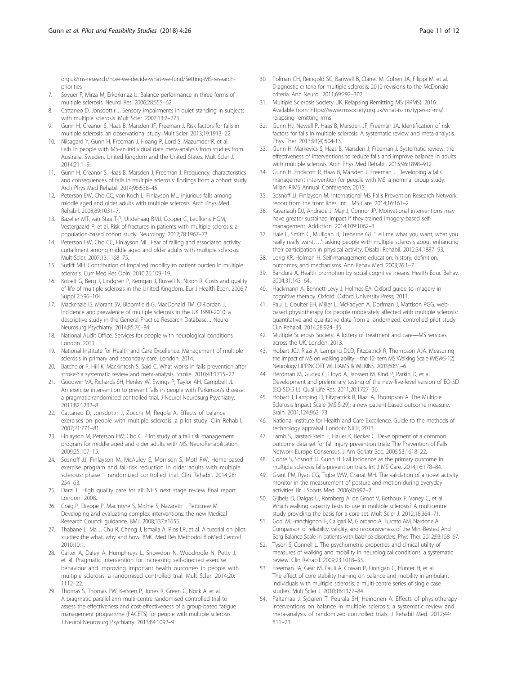<span id="page-10-0"></span>[org.uk/ms-research/how-we-decide-what-we-fund/Setting-MS-research](https://www.mssociety.org.uk/ms-research/how-we-decide-what-we-fund/Setting-MS-research-priorities)[priorities](https://www.mssociety.org.uk/ms-research/how-we-decide-what-we-fund/Setting-MS-research-priorities)

- 7. Soyuer F, Mirza M, Erkorkmaz U. Balance performance in three forms of multiple sclerosis. Neurol Res. 2006;28:555–62.
- 8. Cattaneo D, Jonsdottir J. Sensory impairments in quiet standing in subjects with multiple sclerosis. Mult Scler. 2007;13:7–273.
- 9. Gunn H, Creanor S, Haas B, Marsden JF, Freeman J. Risk factors for falls in multiple sclerosis: an observational study. Mult Scler. 2013;19:1913–22.
- 10. Nilsagard Y, Gunn H, Freeman J, Hoang P, Lord S, Mazumder R, et al. Falls in people with MS-an individual data meta-analysis from studies from Australia, Sweden, United Kingdom and the United States. Mult Scler J. 2014;21:1–9.
- 11. Gunn H, Creanor S, Haas B, Marsden J, Freeman J. Frequency, characteristics and consequences of falls in multiple sclerosis: findings from a cohort study. Arch Phys Med Rehabil. 2014;95:538–45.
- 12. Peterson EW, Cho CC, von Koch L, Finlayson ML. Injurious falls among middle aged and older adults with multiple sclerosis. Arch Phys Med Rehabil. 2008;89:1031–7.
- 13. Bazelier MT, van Staa T-P, Uitdehaag BMJ, Cooper C, Leufkens HGM, Vestergaard P, et al. Risk of fractures in patients with multiple sclerosis: a population-based cohort study. Neurology. 2012;78:1967–73.
- 14. Peterson EW, Cho CC, Finlayson ML. Fear of falling and associated activity curtailment among middle aged and older adults with multiple sclerosis. Mult Scler. 2007;13:1168–75.
- 15. Sutliff MH. Contribution of impaired mobility to patient burden in multiple sclerosis. Curr Med Res Opin. 2010;26:109–19.
- 16. Kobelt G, Berg J, Lindgren P, Kerrigan J, Russell N, Nixon R. Costs and quality of life of multiple sclerosis in the United Kingdom. Eur J Health Econ. 2006;7 Suppl 2:S96–104.
- 17. Mackenzie IS, Morant SV, Bloomfield G, MacDonald TM, O'Riordan J. Incidence and prevalence of multiple sclerosis in the UK 1990-2010: a descriptive study in the General Practice Research Database. J Neurol Neurosurg Psychiatry. 2014;85:76–84.
- 18. National Audit Office. Services for people with neurological conditions. London. 2011.
- 19. National Institute for Health and Care Excellence. Management of multiple sclerosis in primary and secondary care. London. 2014.
- 20. Batchelor F, Hill K, Mackintosh S, Said C. What works in falls prevention after stroke?: a systematic review and meta-analysis. Stroke. 2010;41:1715–22.
- 21. Goodwin VA, Richards SH, Henley W, Ewings P, Taylor AH, Campbell JL. An exercise intervention to prevent falls in people with Parkinson's disease: a pragmatic randomised controlled trial. J Neurol Neurosurg Psychiatry. 2011;82:1232–8.
- 22. Cattaneo D, Jonsdottir J, Zocchi M, Regola A. Effects of balance exercises on people with multiple sclerosis: a pilot study. Clin Rehabil. 2007;21:771–81.
- 23. Finlayson M, Peterson EW, Cho C. Pilot study of a fall risk management program for middle aged and older adults with MS. NeuroRehabilitation. 2009;25:107–15.
- 24. Sosnoff JJ, Finlayson M, McAuley E, Morrison S, Motl RW. Home-based exercise program and fall-risk reduction in older adults with multiple sclerosis: phase 1 randomized controlled trial. Clin Rehabil. 2014;28: 254–63.
- 25. Darzi L. High quality care for all: NHS next stage review final report. London. 2008.
- 26. Craig P, Dieppe P, Macintyre S, Michie S, Nazareth I, Petticrew M. Developing and evaluating complex interventions: the new Medical Research Council guidance. BMJ. 2008;337:a1655.
- 27. Thabane L, Ma J, Chu R, Cheng J, Ismaila A, Rios LP, et al. A tutorial on pilot studies: the what, why and how. BMC Med Res Methodol BioMed Central. 2010;10:1.
- 28. Carter A, Daley A, Humphreys L, Snowdon N, Woodroofe N, Petty J, et al. Pragmatic intervention for increasing self-directed exercise behaviour and improving important health outcomes in people with multiple sclerosis: a randomised controlled trial. Mult Scler. 2014;20: 1112–22.
- 29. Thomas S, Thomas PW, Kersten P, Jones R, Green C, Nock A, et al. A pragmatic parallel arm multi-centre randomised controlled trial to assess the effectiveness and cost-effectiveness of a group-based fatigue management programme (FACETS) for people with multiple sclerosis. J Neurol Neurosurg Psychiatry. 2013;84:1092–9.
- 30. Polman CH, Reingold SC, Banwell B, Clanet M, Cohen JA, Filippi M, et al. Diagnostic criteria for multiple sclerosis: 2010 revisions to the McDonald criteria. Ann Neurol. 2011;69:292–302.
- 31. Multiple Sclerosis Society UK. Relapsing Remitting MS (RRMS). 2016. Available from: [https://www.mssociety.org.uk/what-is-ms/types-of-ms/](https://www.mssociety.org.uk/what-is-ms/types-of-ms/relapsing-remitting-rrms) [relapsing-remitting-rrms](https://www.mssociety.org.uk/what-is-ms/types-of-ms/relapsing-remitting-rrms)
- Gunn HJ, Newell P, Haas B, Marsden JF, Freeman JA. Identification of risk factors for falls in multiple sclerosis: A systematic review and meta-analysis. Phys Ther. 2013;93(4):504-13.
- 33. Gunn H, Markevics S, Haas B, Marsden J, Freeman J. Systematic review: the effectiveness of interventions to reduce falls and improve balance in adults with multiple sclerosis. Arch Phys Med Rehabil. 2015;96:1898–912.
- 34. Gunn H, Endacott R, Haas B, Marsden J, Freeman J. Developing a falls management intervention for people with MS: a nominal group study. Milan: RIMS Annual. Conference; 2015.
- 35. Sosnoff JJ, Finlayson M. International MS Falls Prevention Research Network: report from the front lines. Int J MS Care. 2014;16:161–2.
- 36. Kavanagh DJ, Andrade J, May J, Connor JP. Motivational interventions may have greater sustained impact if they trained imagery-based selfmanagement. Addiction. 2014;109:1062–3.
- 37. Hale L, Smith C, Mulligan H, Treharne GJ. "Tell me what you want, what you really really want….": asking people with multiple sclerosis about enhancing their participation in physical activity. Disabil Rehabil. 2012;34:1887–93.
- 38. Lorig KR, Holman H. Self-management education: history, definition, outcomes, and mechanisms. Ann Behav Med. 2003;26:1–7.
- 39. Bandura A. Health promotion by social cognitive means. Health Educ Behav. 2004;31:143–64.
- 40. Hackmann A, Bennett-Levy J, Holmes EA. Oxford guide to imagery in cognitive therapy. Oxford: Oxford University Press; 2011.
- 41. Paul L, Coulter EH, Miller L, McFadyen A, Dorfman J, Mattison PGG. webbased physiotherapy for people moderately affected with multiple sclerosis; quantitative and qualitative data from a randomized, controlled pilot study. Clin Rehabil. 2014;28:924–35.
- 42. Multiple Sclerosis Society. A lottery of treatment and care—MS services across the UK. London. 2013.
- 43. Hobart JCJ, Riazi A, Lamping DLD, Fitzpatrick R, Thompson AJA. Measuring the impact of MS on walking ability—the 12-Item MS Walking Scale (MSWS-12). Neurology LIPPINCOTT WILLIAMS & WILKINS. 2003;60:31–6.
- 44. Herdman M, Gudex C, Lloyd A, Janssen M, Kind P, Parkin D, et al. Development and preliminary testing of the new five-level version of EQ-5D (EQ-5D-5 L). Qual Life Res. 2011;20:1727–36.
- 45. Hobart J, Lamping D, Fitzpatrick R, Riazi A, Thompson A. The Multiple Sclerosis Impact Scale (MSIS-29): a new patient-based outcome measure. Brain. 2001;124:962–73.
- 46. National Institute for Health and Care Excellence. Guide to the methods of technology appraisal. London: NICE; 2013.
- 47. Lamb S, Jørstad-Stein E, Hauer K, Becker C. Development of a common outcome data set for fall injury prevention trials: The Prevention of Falls Network Europe Consensus. J Am Geriatr Soc. 2005;53:1618–22.
- 48. Coote S, Sosnoff JJ, Gunn H. Fall incidence as the primary outcome in multiple sclerosis falls-prevention trials. Int J MS Care. 2014;16:178–84.
- 49. Grant PM, Ryan CG, Tigbe WW, Granat MH. The validation of a novel activity monitor in the measurement of posture and motion during everyday activities. Br J Sports Med. 2006;40:992–7.
- 50. Gijbels D, Dalgas U, Romberg A, de Groot V, Bethoux F, Vaney C, et al. Which walking capacity tests to use in multiple sclerosis? A multicentre study providing the basis for a core set. Mult Scler J. 2012;18:364–71.
- 51. Godi M, Franchignoni F, Caligari M, Giordano A, Turcato AM, Nardone A. Comparison of reliability, validity, and responsiveness of the Mini-Bestest And Berg Balance Scale in patients with balance disorders. Phys Ther. 2012;93:158–67.
- 52. Tyson S, Connell L. The psychometric properties and clinical utility of measures of walking and mobility in neurological conditions: a systematic review. Clin Rehabil. 2009;23:1018–33.
- 53. Freeman JA, Gear M, Pauli A, Cowan P, Finnigan C, Hunter H, et al. The effect of core stability training on balance and mobility in ambulant individuals with multiple sclerosis: a multi-centre series of single case studies. Mult Scler J. 2010;16:1377–84.
- 54. Paltamaa J, Sjögren T, Peurala SH, Heinonen A. Effects of physiotherapy interventions on balance in multiple sclerosis: a systematic review and meta-analysis of randomized controlled trials. J Rehabil Med. 2012;44: 811–23.